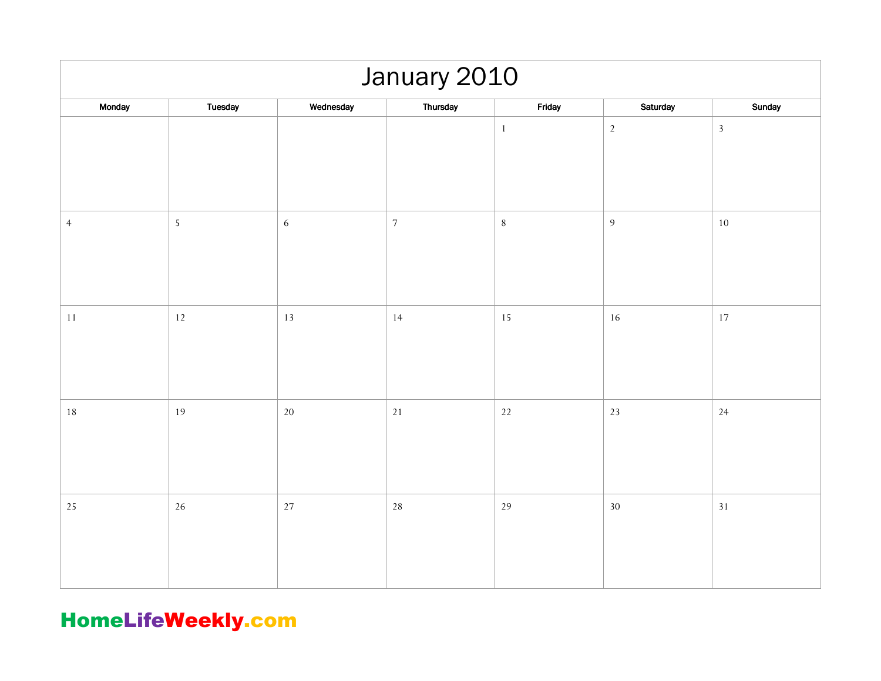| January 2010   |            |           |            |              |                |                |  |  |
|----------------|------------|-----------|------------|--------------|----------------|----------------|--|--|
| Monday         | Tuesday    | Wednesday | Thursday   | Friday       | Saturday       | Sunday         |  |  |
|                |            |           |            | $\mathbf{1}$ | $\overline{2}$ | $\overline{3}$ |  |  |
| $\overline{4}$ | $\sqrt{5}$ | 6         | $\sqrt{ }$ | $\, 8$       | $\overline{9}$ | $10\,$         |  |  |
| $11\,$         | $12$       | 13        | 14         | 15           | $16\,$         | 17             |  |  |
| $18\,$         | 19         | $20\,$    | $21\,$     | 22           | $23\,$         | 24             |  |  |
| 25             | 26         | 27        | 28         | 29           | $30\,$         | 31             |  |  |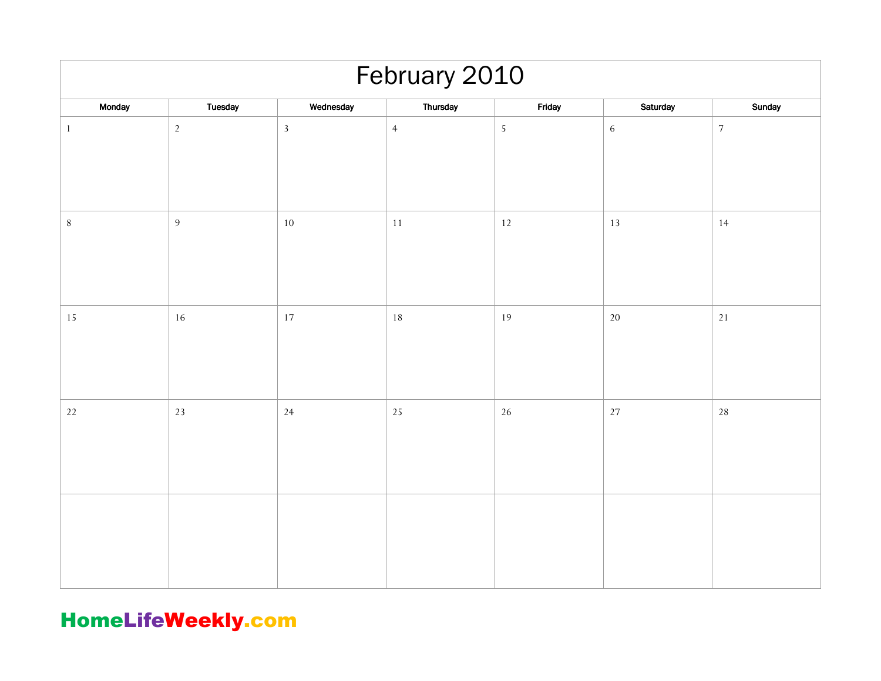| February 2010 |                |              |                |            |            |                  |  |  |
|---------------|----------------|--------------|----------------|------------|------------|------------------|--|--|
| Monday        | Tuesday        | Wednesday    | Thursday       | Friday     | Saturday   | Sunday           |  |  |
| $\mathbf{1}$  | $\sqrt{2}$     | $\mathbf{3}$ | $\overline{4}$ | $\sqrt{5}$ | $\sqrt{6}$ | $\boldsymbol{7}$ |  |  |
| $\,8\,$       | $\overline{9}$ | $10\,$       | $11\,$         | $12$       | $13\,$     | 14               |  |  |
| 15            | 16             | 17           | $18\,$         | 19         | $20\,$     | $21$             |  |  |
| $22\,$        | 23             | 24           | 25             | 26         | $27\,$     | 28               |  |  |
|               |                |              |                |            |            |                  |  |  |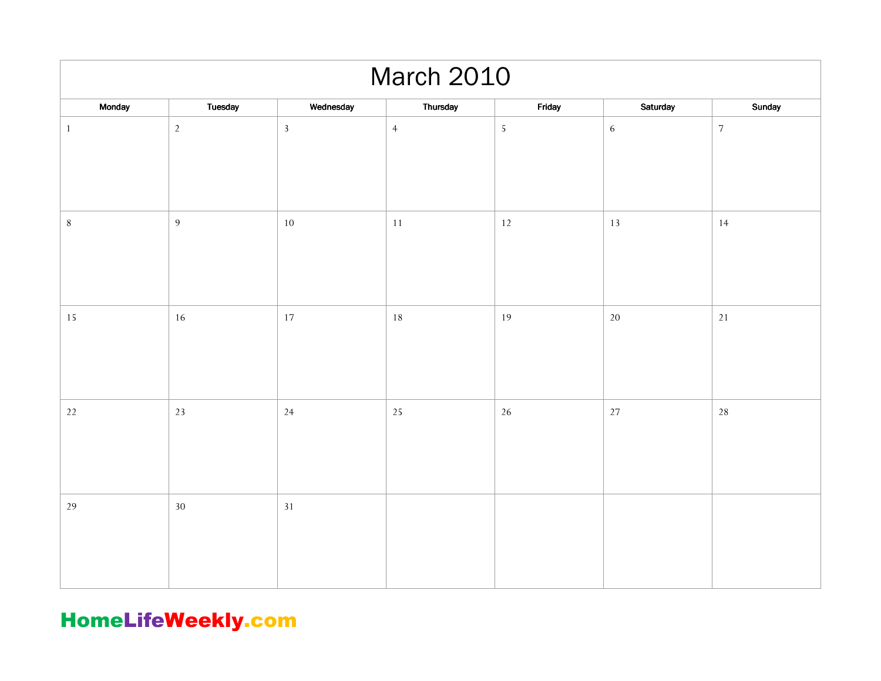| <b>March 2010</b> |                |              |                |            |            |                  |  |  |  |
|-------------------|----------------|--------------|----------------|------------|------------|------------------|--|--|--|
| Monday            | Tuesday        | Wednesday    | Thursday       | Friday     | Saturday   | Sunday           |  |  |  |
| $1\,$             | $\overline{2}$ | $\mathbf{3}$ | $\overline{4}$ | $\sqrt{5}$ | $\sqrt{6}$ | $\boldsymbol{7}$ |  |  |  |
| $8\,$             | $\overline{9}$ | $10\,$       | $11\,$         | $12$       | $13\,$     | 14               |  |  |  |
| $15\,$            | 16             | 17           | 18             | 19         | $20\,$     | $21\,$           |  |  |  |
| $22\,$            | 23             | 24           | 25             | 26         | $27\,$     | $28\,$           |  |  |  |
| $29\,$            | $30\,$         | 31           |                |            |            |                  |  |  |  |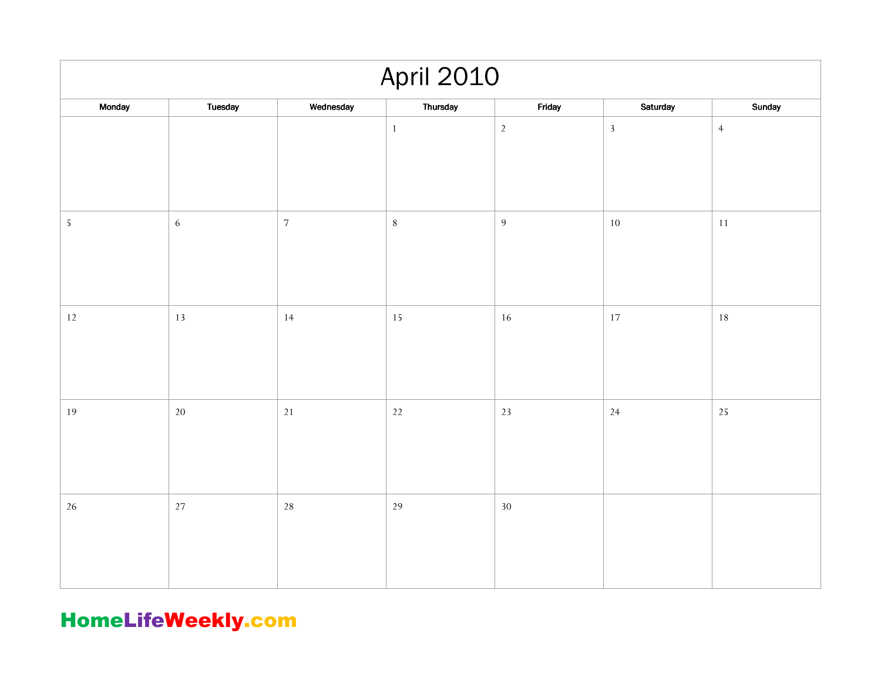| <b>April 2010</b> |            |            |          |                |            |                |  |  |  |
|-------------------|------------|------------|----------|----------------|------------|----------------|--|--|--|
| Monday            | Tuesday    | Wednesday  | Thursday | Friday         | Saturday   | Sunday         |  |  |  |
|                   |            |            | $1\,$    | $\sqrt{2}$     | $\sqrt{3}$ | $\overline{4}$ |  |  |  |
| $\sqrt{5}$        | $\sqrt{6}$ | $\sqrt{7}$ | $\,8\,$  | $\overline{9}$ | $10\,$     | $11\,$         |  |  |  |
| $12\,$            | 13         | 14         | 15       | 16             | 17         | $18\,$         |  |  |  |
| 19                | $20\,$     | $21$       | $22\,$   | 23             | 24         | 25             |  |  |  |
| $26\,$            | $27\,$     | 28         | 29       | $30\,$         |            |                |  |  |  |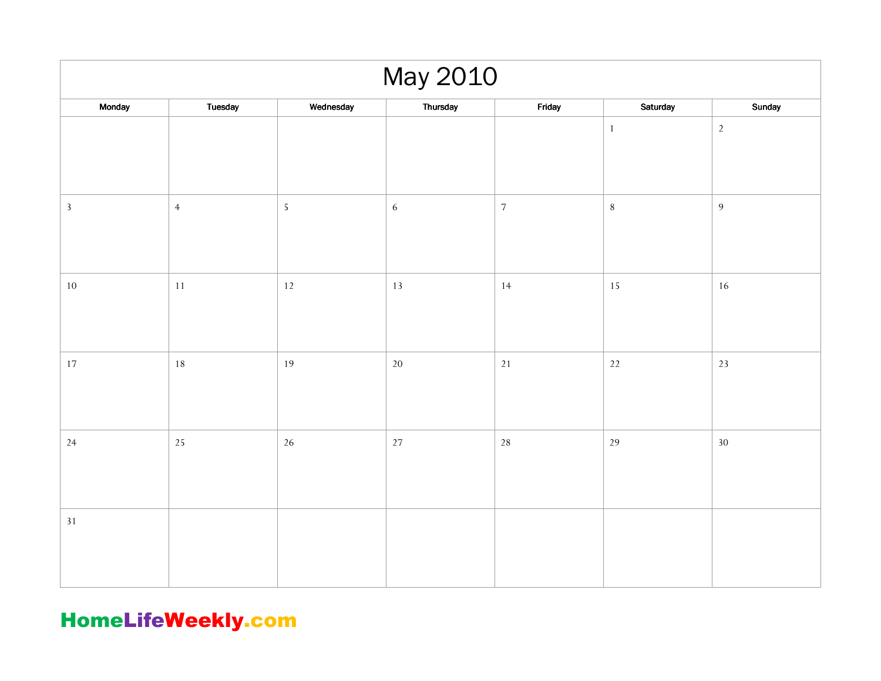| May 2010     |                |            |            |            |              |                |  |  |
|--------------|----------------|------------|------------|------------|--------------|----------------|--|--|
| Monday       | Tuesday        | Wednesday  | Thursday   | Friday     | Saturday     | Sunday         |  |  |
|              |                |            |            |            | $\mathbf{1}$ | $\sqrt{2}$     |  |  |
| $\mathbf{3}$ | $\overline{4}$ | $\sqrt{5}$ | $\sqrt{6}$ | $\sqrt{7}$ | $\,8\,$      | $\overline{9}$ |  |  |
| $10\,$       | $11\,$         | $12$       | $13\,$     | 14         | $15\,$       | $16\,$         |  |  |
| $17\,$       | $18\,$         | 19         | $20\,$     | $21\,$     | $22\,$       | 23             |  |  |
| 24           | 25             | $26\,$     | $27\,$     | 28         | 29           | $30\,$         |  |  |
| $31\,$       |                |            |            |            |              |                |  |  |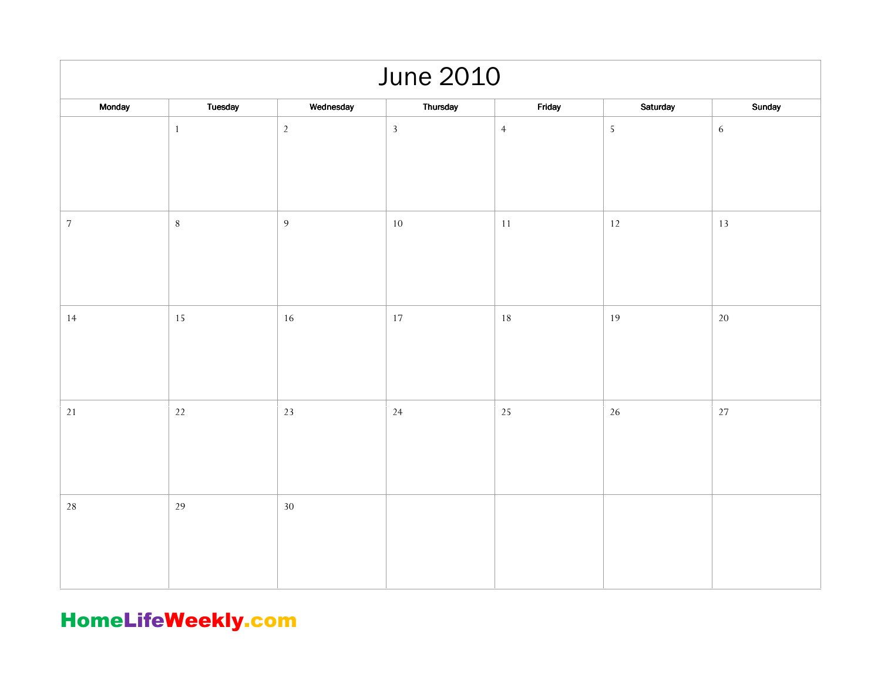| <b>June 2010</b> |              |                |                |                |            |            |  |  |  |
|------------------|--------------|----------------|----------------|----------------|------------|------------|--|--|--|
| Monday           | Tuesday      | Wednesday      | Thursday       | Friday         | Saturday   | Sunday     |  |  |  |
|                  | $\mathbf{1}$ | $\sqrt{2}$     | $\overline{3}$ | $\overline{4}$ | $\sqrt{5}$ | $\sqrt{6}$ |  |  |  |
| $\sqrt{ }$       | $\,8\,$      | $\overline{9}$ | $10\,$         | $11\,$         | $12\,$     | $13\,$     |  |  |  |
| 14               | 15           | 16             | 17             | 18             | 19         | $20\,$     |  |  |  |
| $21\,$           | $22\,$       | 23             | 24             | 25             | $26\,$     | 27         |  |  |  |
| $28\,$           | 29           | $30\,$         |                |                |            |            |  |  |  |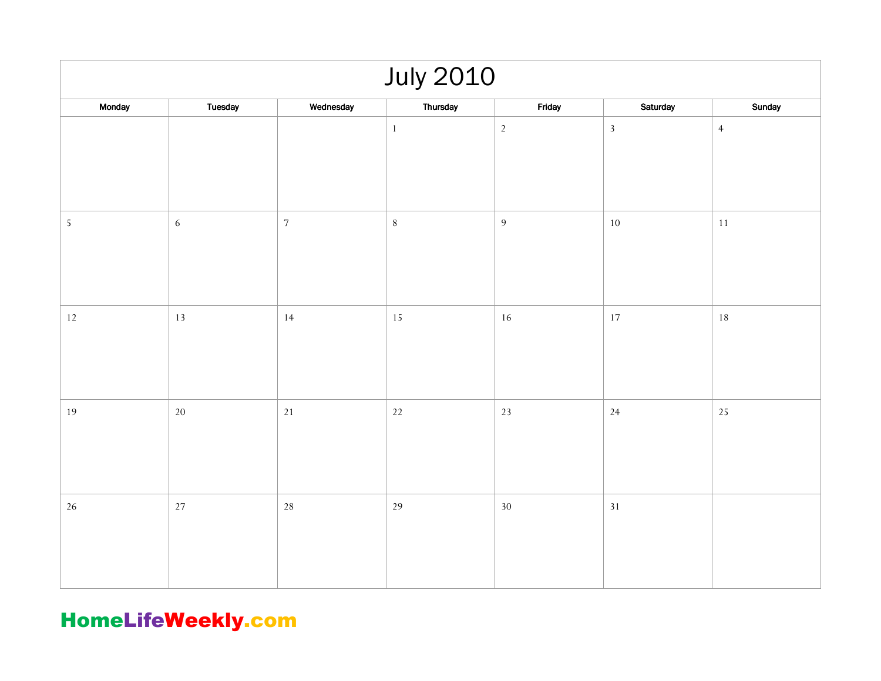| <b>July 2010</b> |            |            |          |                |              |                |  |  |
|------------------|------------|------------|----------|----------------|--------------|----------------|--|--|
| Monday           | Tuesday    | Wednesday  | Thursday | Friday         | Saturday     | Sunday         |  |  |
|                  |            |            | $1\,$    | $\sqrt{2}$     | $\mathbf{3}$ | $\overline{4}$ |  |  |
| $\sqrt{5}$       | $\sqrt{6}$ | $\sqrt{7}$ | $8\,$    | $\overline{9}$ | $10\,$       | $11\,$         |  |  |
| $12\,$           | 13         | 14         | 15       | 16             | 17           | $18\,$         |  |  |
| 19               | $20\,$     | $21$       | $22\,$   | 23             | 24           | 25             |  |  |
| $26\,$           | $27\,$     | $28\,$     | 29       | $30\,$         | $31\,$       |                |  |  |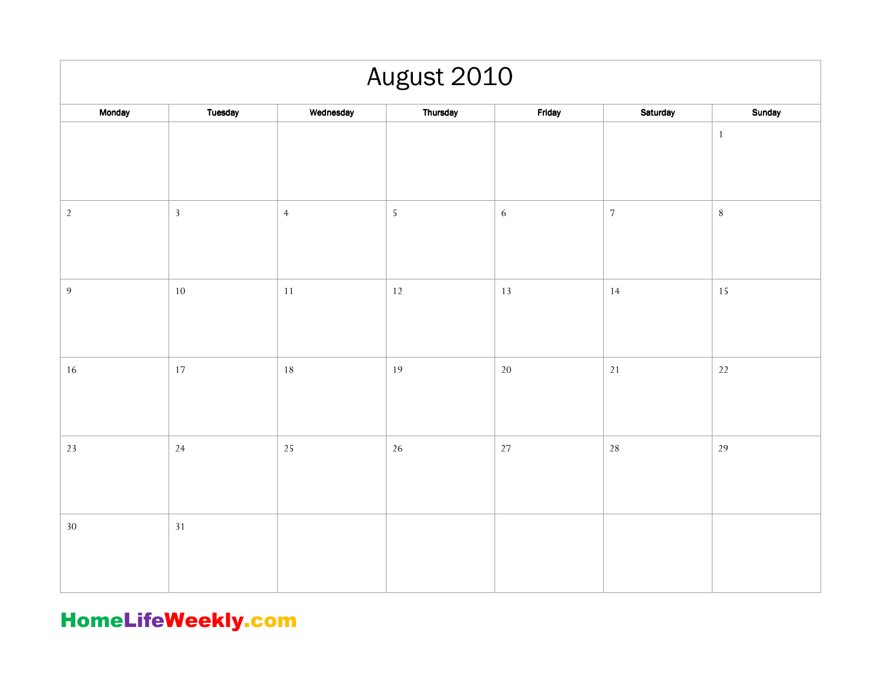| August 2010    |                |                |            |            |            |         |  |  |
|----------------|----------------|----------------|------------|------------|------------|---------|--|--|
| Monday         | <b>Tuesday</b> | Wednesday      | Thursday   | Friday     | Saturday   | Sunday  |  |  |
|                |                |                |            |            |            | $\,1\,$ |  |  |
| $\sqrt{2}$     | $\overline{3}$ | $\overline{4}$ | $\sqrt{5}$ | $\sqrt{6}$ | $\sqrt{ }$ | $\, 8$  |  |  |
| $\overline{9}$ | $10\,$         | 11             | $12$       | 13         | 14         | 15      |  |  |
| $16\,$         | 17             | 18             | 19         | $20\,$     | $21$       | $22\,$  |  |  |
| $23\,$         | 24             | 25             | 26         | 27         | 28         | 29      |  |  |
| $30\,$         | 31             |                |            |            |            |         |  |  |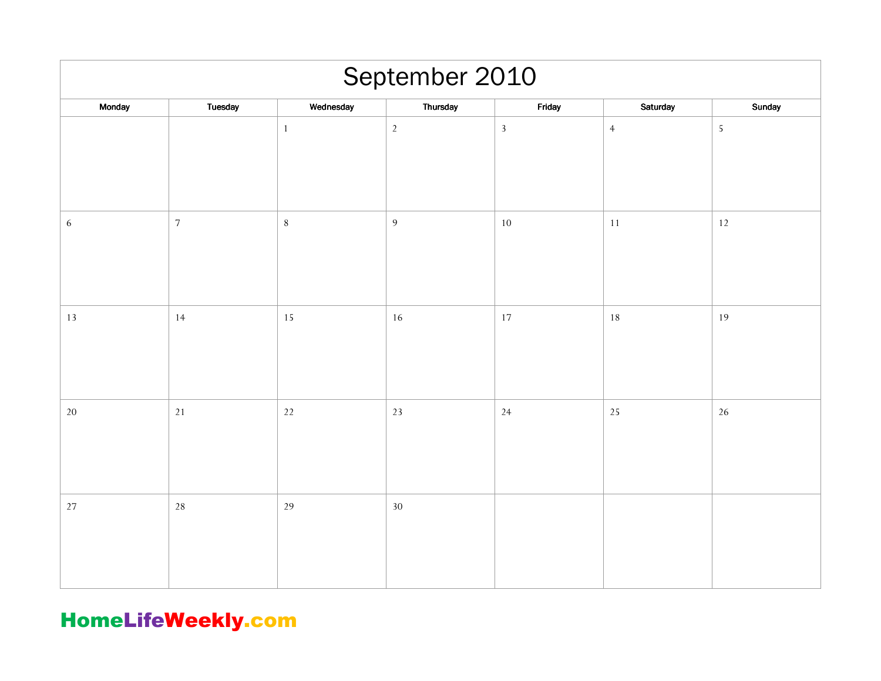| September 2010 |            |              |          |              |                |            |  |  |
|----------------|------------|--------------|----------|--------------|----------------|------------|--|--|
| Monday         | Tuesday    | Wednesday    | Thursday | Friday       | Saturday       | Sunday     |  |  |
|                |            | $\mathbf{1}$ | $2\,$    | $\mathbf{3}$ | $\overline{4}$ | $\sqrt{5}$ |  |  |
| $\sqrt{6}$     | $\sqrt{ }$ | $\, 8$       | 9        | 10           | $11\,$         | $12\,$     |  |  |
| 13             | 14         | 15           | 16       | 17           | 18             | 19         |  |  |
| $20\,$         | 21         | $22$         | 23       | 24           | 25             | 26         |  |  |
| $27\,$         | 28         | 29           | 30       |              |                |            |  |  |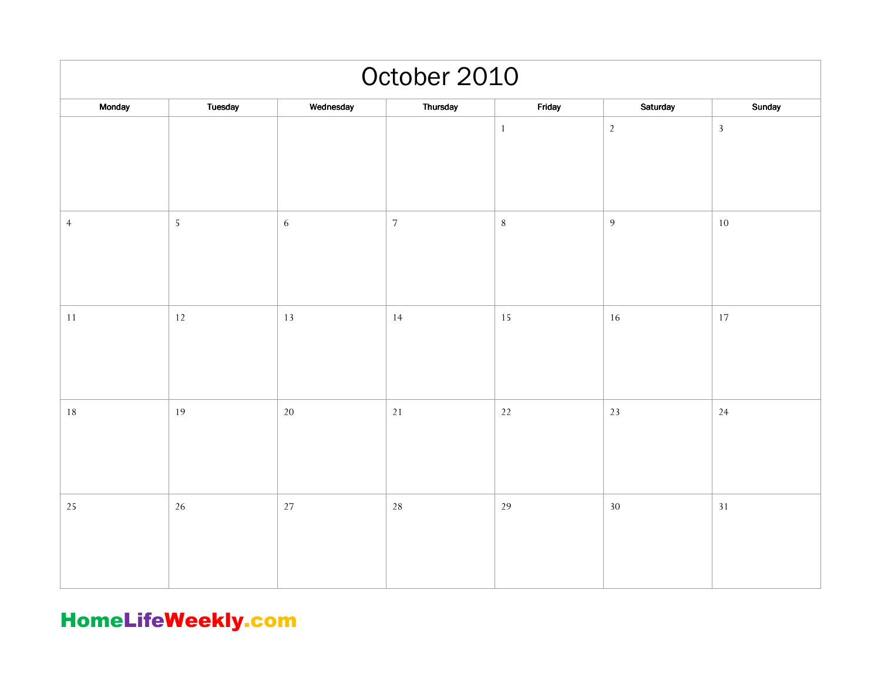| October 2010   |                |            |            |              |                |                |  |  |
|----------------|----------------|------------|------------|--------------|----------------|----------------|--|--|
| Monday         | <b>Tuesday</b> | Wednesday  | Thursday   | Friday       | Saturday       | Sunday         |  |  |
|                |                |            |            | $\mathbf{1}$ | $\overline{2}$ | $\overline{3}$ |  |  |
| $\overline{4}$ | $\sqrt{5}$     | $\sqrt{6}$ | $\sqrt{ }$ | $\, 8$       | $\overline{9}$ | $10\,$         |  |  |
| $11\,$         | $12\,$         | 13         | 14         | 15           | 16             | $17\,$         |  |  |
| 18             | 19             | 20         | $21\,$     | 22           | 23             | 24             |  |  |
| $25\,$         | 26             | 27         | 28         | 29           | $30\,$         | 31             |  |  |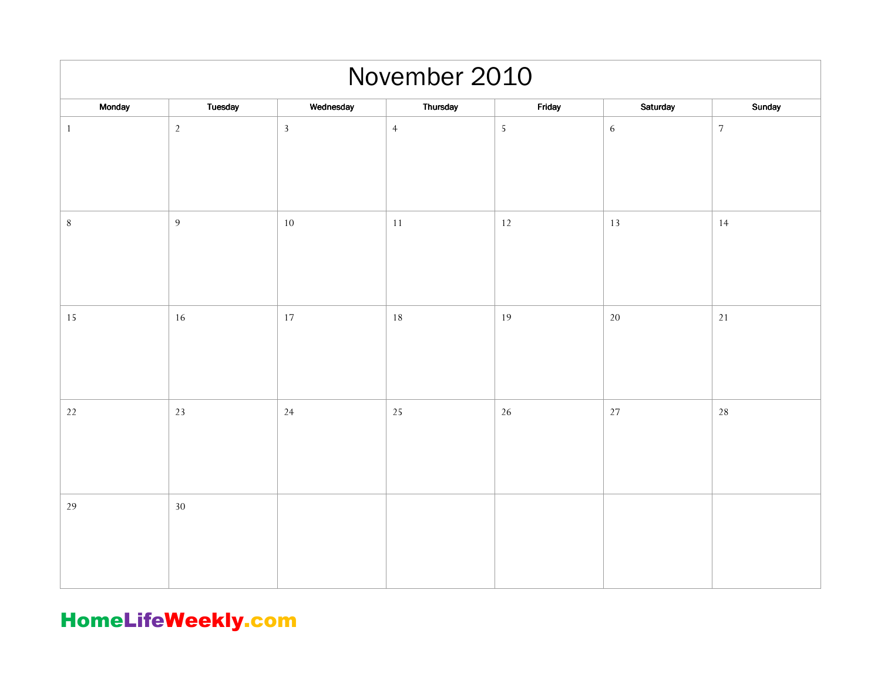| November 2010 |                |                |                |            |            |            |  |  |
|---------------|----------------|----------------|----------------|------------|------------|------------|--|--|
| Monday        | Tuesday        | Wednesday      | Thursday       | Friday     | Saturday   | Sunday     |  |  |
| $\mathbf{1}$  | $\overline{2}$ | $\overline{3}$ | $\overline{4}$ | $\sqrt{5}$ | $\sqrt{6}$ | $\sqrt{ }$ |  |  |
| $\,8\,$       | $\overline{9}$ | $10\,$         | 11             | 12         | 13         | 14         |  |  |
| $15\,$        | 16             | $17\,$         | 18             | 19         | $20\,$     | $21\,$     |  |  |
| 22            | 23             | 24             | 25             | 26         | $27\,$     | 28         |  |  |
| 29            | $30\,$         |                |                |            |            |            |  |  |